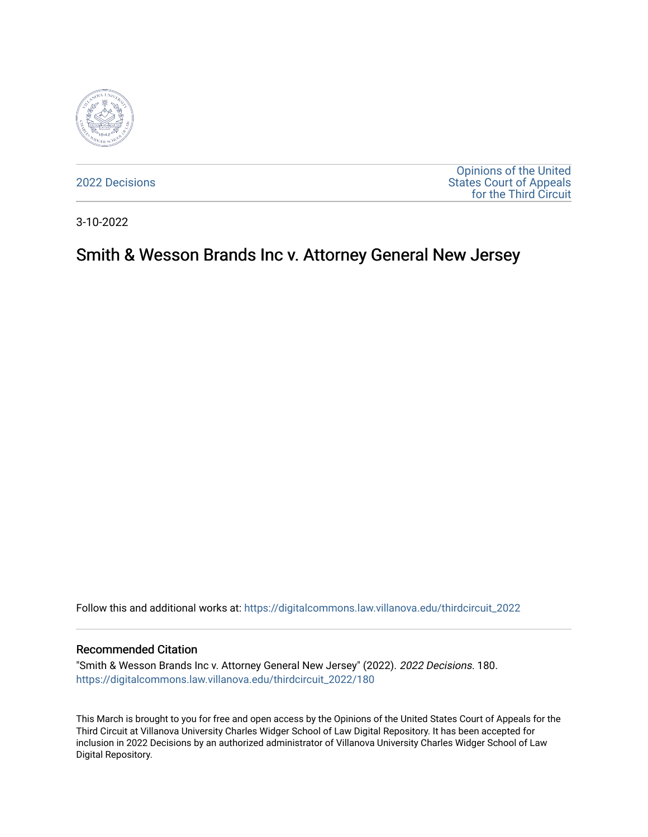

[2022 Decisions](https://digitalcommons.law.villanova.edu/thirdcircuit_2022)

[Opinions of the United](https://digitalcommons.law.villanova.edu/thirdcircuit)  [States Court of Appeals](https://digitalcommons.law.villanova.edu/thirdcircuit)  [for the Third Circuit](https://digitalcommons.law.villanova.edu/thirdcircuit) 

3-10-2022

# Smith & Wesson Brands Inc v. Attorney General New Jersey

Follow this and additional works at: [https://digitalcommons.law.villanova.edu/thirdcircuit\\_2022](https://digitalcommons.law.villanova.edu/thirdcircuit_2022?utm_source=digitalcommons.law.villanova.edu%2Fthirdcircuit_2022%2F180&utm_medium=PDF&utm_campaign=PDFCoverPages) 

### Recommended Citation

"Smith & Wesson Brands Inc v. Attorney General New Jersey" (2022). 2022 Decisions. 180. [https://digitalcommons.law.villanova.edu/thirdcircuit\\_2022/180](https://digitalcommons.law.villanova.edu/thirdcircuit_2022/180?utm_source=digitalcommons.law.villanova.edu%2Fthirdcircuit_2022%2F180&utm_medium=PDF&utm_campaign=PDFCoverPages)

This March is brought to you for free and open access by the Opinions of the United States Court of Appeals for the Third Circuit at Villanova University Charles Widger School of Law Digital Repository. It has been accepted for inclusion in 2022 Decisions by an authorized administrator of Villanova University Charles Widger School of Law Digital Repository.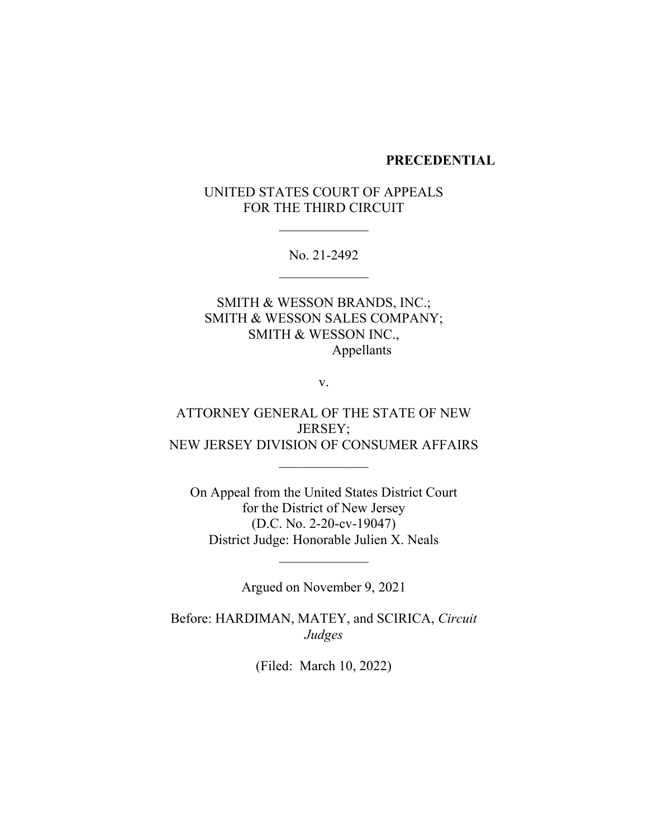### **PRECEDENTIAL**

# UNITED STATES COURT OF APPEALS FOR THE THIRD CIRCUIT

No. 21-2492

SMITH & WESSON BRANDS, INC.; SMITH & WESSON SALES COMPANY; SMITH & WESSON INC., Appellants

v.

ATTORNEY GENERAL OF THE STATE OF NEW JERSEY; NEW JERSEY DIVISION OF CONSUMER AFFAIRS

On Appeal from the United States District Court for the District of New Jersey (D.C. No. 2-20-cv-19047) District Judge: Honorable Julien X. Neals

Argued on November 9, 2021

Before: HARDIMAN, MATEY, and SCIRICA, *Circuit Judges*

(Filed: March 10, 2022)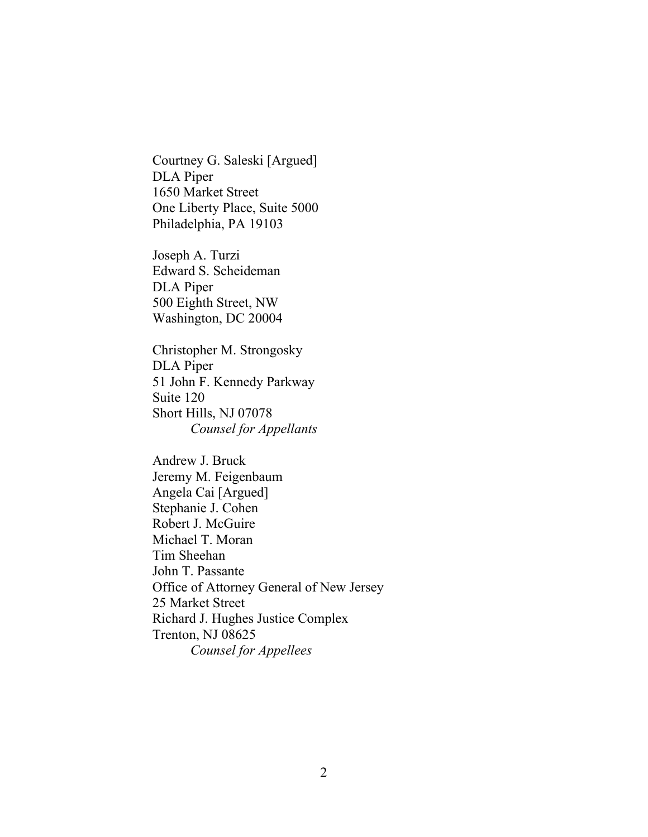Courtney G. Saleski [Argued] DLA Piper 1650 Market Street One Liberty Place, Suite 5000 Philadelphia, PA 19103

Joseph A. Turzi Edward S. Scheideman DLA Piper 500 Eighth Street, NW Washington, DC 20004

Christopher M. Strongosky DLA Piper 51 John F. Kennedy Parkway Suite 120 Short Hills, NJ 07078 *Counsel for Appellants*

Andrew J. Bruck Jeremy M. Feigenbaum Angela Cai [Argued] Stephanie J. Cohen Robert J. McGuire Michael T. Moran Tim Sheehan John T. Passante Office of Attorney General of New Jersey 25 Market Street Richard J. Hughes Justice Complex Trenton, NJ 08625 *Counsel for Appellees*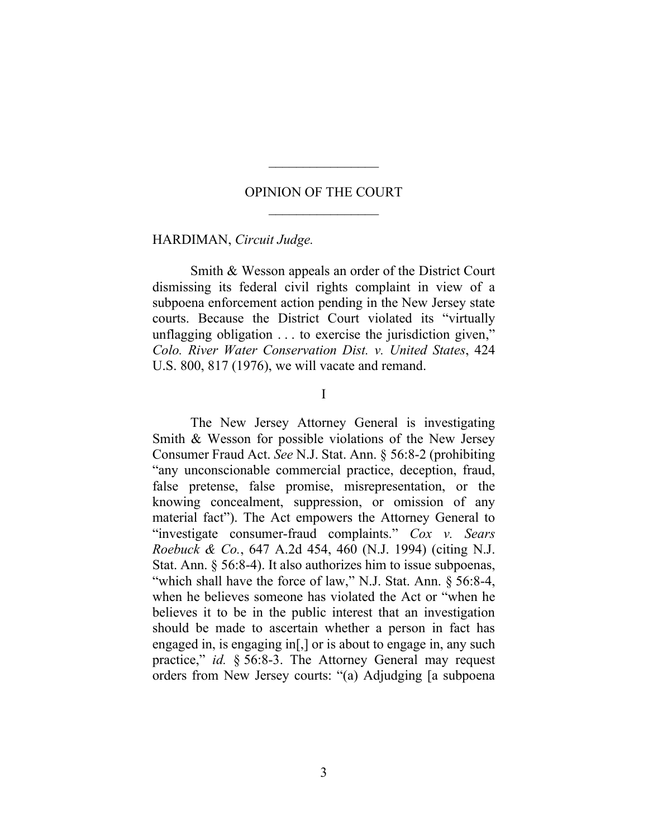## OPINION OF THE COURT

 $\frac{1}{2}$ 

### HARDIMAN, *Circuit Judge.*

Smith & Wesson appeals an order of the District Court dismissing its federal civil rights complaint in view of a subpoena enforcement action pending in the New Jersey state courts. Because the District Court violated its "virtually unflagging obligation . . . to exercise the jurisdiction given," *Colo. River Water Conservation Dist. v. United States*, 424 U.S. 800, 817 (1976), we will vacate and remand.

I

The New Jersey Attorney General is investigating Smith & Wesson for possible violations of the New Jersey Consumer Fraud Act. *See* N.J. Stat. Ann. § 56:8-2 (prohibiting "any unconscionable commercial practice, deception, fraud, false pretense, false promise, misrepresentation, or the knowing concealment, suppression, or omission of any material fact"). The Act empowers the Attorney General to "investigate consumer-fraud complaints." *Cox v. Sears Roebuck & Co.*, 647 A.2d 454, 460 (N.J. 1994) (citing N.J. Stat. Ann. § 56:8-4). It also authorizes him to issue subpoenas, "which shall have the force of law," N.J. Stat. Ann. § 56:8-4, when he believes someone has violated the Act or "when he believes it to be in the public interest that an investigation should be made to ascertain whether a person in fact has engaged in, is engaging in[,] or is about to engage in, any such practice," *id.* § 56:8-3. The Attorney General may request orders from New Jersey courts: "(a) Adjudging [a subpoena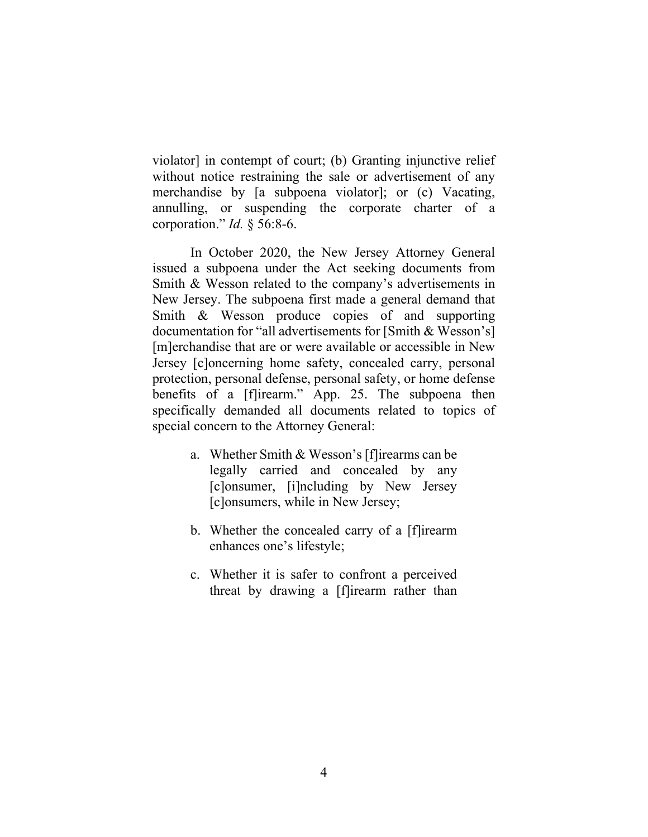violator] in contempt of court; (b) Granting injunctive relief without notice restraining the sale or advertisement of any merchandise by [a subpoena violator]; or (c) Vacating, annulling, or suspending the corporate charter of a corporation." *Id.* § 56:8-6.

In October 2020, the New Jersey Attorney General issued a subpoena under the Act seeking documents from Smith & Wesson related to the company's advertisements in New Jersey. The subpoena first made a general demand that Smith & Wesson produce copies of and supporting documentation for "all advertisements for [Smith & Wesson's] [m]erchandise that are or were available or accessible in New Jersey [c]oncerning home safety, concealed carry, personal protection, personal defense, personal safety, or home defense benefits of a [f]irearm." App. 25. The subpoena then specifically demanded all documents related to topics of special concern to the Attorney General:

- a. Whether Smith & Wesson's [f]irearms can be legally carried and concealed by any [c]onsumer, [i]ncluding by New Jersey [c]onsumers, while in New Jersey;
- b. Whether the concealed carry of a [f]irearm enhances one's lifestyle;
- c. Whether it is safer to confront a perceived threat by drawing a [f]irearm rather than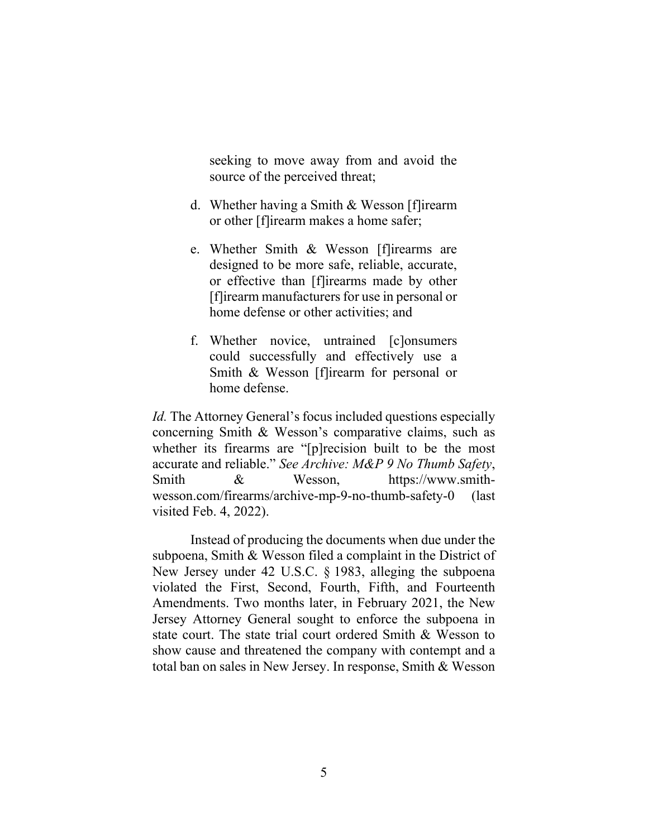seeking to move away from and avoid the source of the perceived threat;

- d. Whether having a Smith & Wesson [f]irearm or other [f]irearm makes a home safer;
- e. Whether Smith & Wesson [f]irearms are designed to be more safe, reliable, accurate, or effective than [f]irearms made by other [f]irearm manufacturers for use in personal or home defense or other activities; and
- f. Whether novice, untrained [c]onsumers could successfully and effectively use a Smith & Wesson [f]irearm for personal or home defense.

*Id.* The Attorney General's focus included questions especially concerning Smith & Wesson's comparative claims, such as whether its firearms are "[p]recision built to be the most accurate and reliable." *See Archive: M&P 9 No Thumb Safety*, Smith & Wesson, https://www.smithwesson.com/firearms/archive-mp-9-no-thumb-safety-0 (last visited Feb. 4, 2022).

Instead of producing the documents when due under the subpoena, Smith & Wesson filed a complaint in the District of New Jersey under 42 U.S.C. § 1983, alleging the subpoena violated the First, Second, Fourth, Fifth, and Fourteenth Amendments. Two months later, in February 2021, the New Jersey Attorney General sought to enforce the subpoena in state court. The state trial court ordered Smith & Wesson to show cause and threatened the company with contempt and a total ban on sales in New Jersey. In response, Smith & Wesson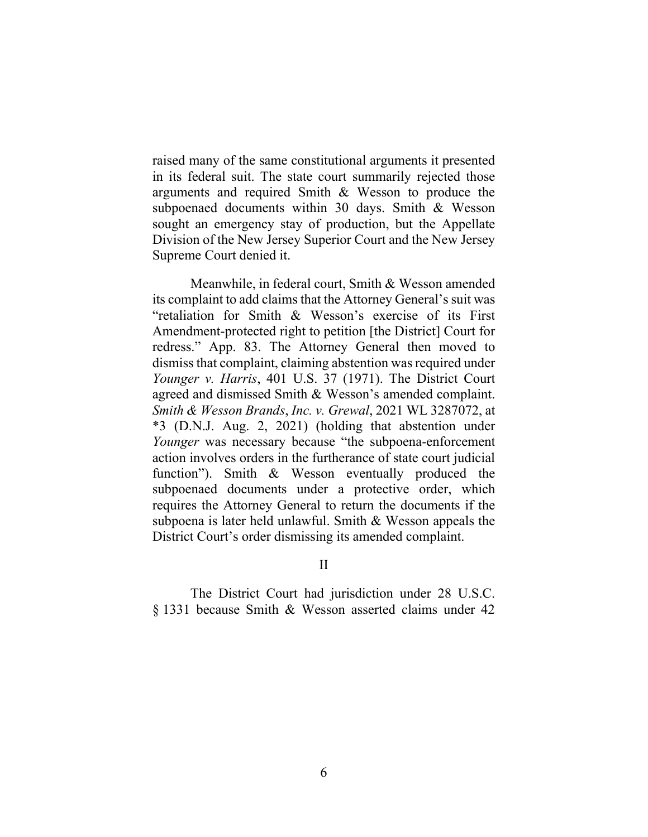raised many of the same constitutional arguments it presented in its federal suit. The state court summarily rejected those arguments and required Smith & Wesson to produce the subpoenaed documents within 30 days. Smith & Wesson sought an emergency stay of production, but the Appellate Division of the New Jersey Superior Court and the New Jersey Supreme Court denied it.

Meanwhile, in federal court, Smith & Wesson amended its complaint to add claims that the Attorney General's suit was "retaliation for Smith & Wesson's exercise of its First Amendment-protected right to petition [the District] Court for redress." App. 83. The Attorney General then moved to dismiss that complaint, claiming abstention was required under *Younger v. Harris*, 401 U.S. 37 (1971). The District Court agreed and dismissed Smith & Wesson's amended complaint. *Smith & Wesson Brands*, *Inc. v. Grewal*, 2021 WL 3287072, at \*3 (D.N.J. Aug. 2, 2021) (holding that abstention under *Younger* was necessary because "the subpoena-enforcement action involves orders in the furtherance of state court judicial function"). Smith & Wesson eventually produced the subpoenaed documents under a protective order, which requires the Attorney General to return the documents if the subpoena is later held unlawful. Smith & Wesson appeals the District Court's order dismissing its amended complaint.

II

The District Court had jurisdiction under 28 U.S.C. § 1331 because Smith & Wesson asserted claims under 42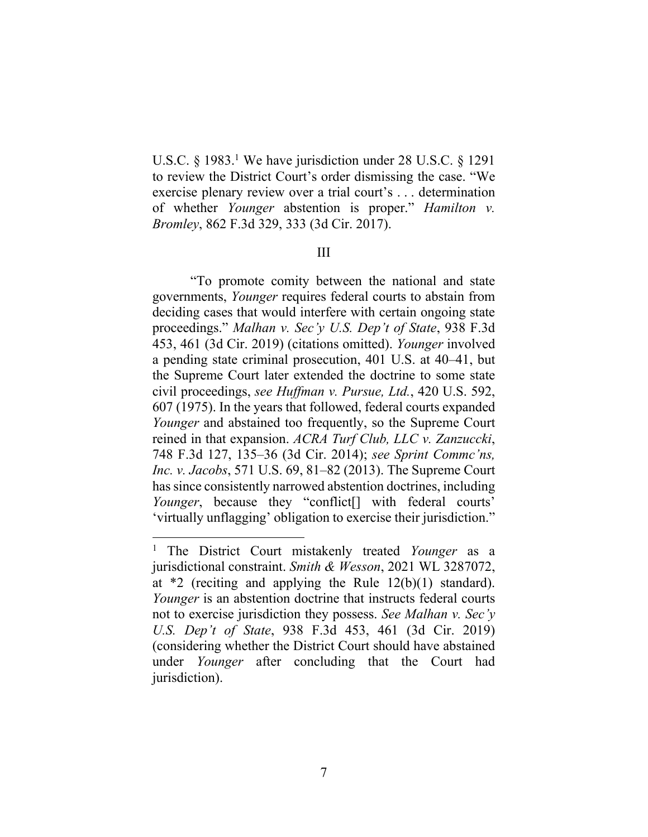U.S.C.  $\S$  1983.<sup>1</sup> We have jurisdiction under 28 U.S.C.  $\S$  1291 to review the District Court's order dismissing the case. "We exercise plenary review over a trial court's . . . determination of whether *Younger* abstention is proper." *Hamilton v. Bromley*, 862 F.3d 329, 333 (3d Cir. 2017).

### III

"To promote comity between the national and state governments, *Younger* requires federal courts to abstain from deciding cases that would interfere with certain ongoing state proceedings." *Malhan v. Sec'y U.S. Dep't of State*, 938 F.3d 453, 461 (3d Cir. 2019) (citations omitted). *Younger* involved a pending state criminal prosecution, 401 U.S. at 40–41, but the Supreme Court later extended the doctrine to some state civil proceedings, *see Huffman v. Pursue, Ltd.*, 420 U.S. 592, 607 (1975). In the years that followed, federal courts expanded *Younger* and abstained too frequently, so the Supreme Court reined in that expansion. *ACRA Turf Club, LLC v. Zanzuccki*, 748 F.3d 127, 135–36 (3d Cir. 2014); *see Sprint Commc'ns, Inc. v. Jacobs*, 571 U.S. 69, 81–82 (2013). The Supreme Court has since consistently narrowed abstention doctrines, including *Younger*, because they "conflict[] with federal courts' 'virtually unflagging' obligation to exercise their jurisdiction."

<sup>1</sup> The District Court mistakenly treated *Younger* as a jurisdictional constraint. *Smith & Wesson*, 2021 WL 3287072, at \*2 (reciting and applying the Rule 12(b)(1) standard). *Younger* is an abstention doctrine that instructs federal courts not to exercise jurisdiction they possess. *See Malhan v. Sec'y U.S. Dep't of State*, 938 F.3d 453, 461 (3d Cir. 2019) (considering whether the District Court should have abstained under *Younger* after concluding that the Court had jurisdiction).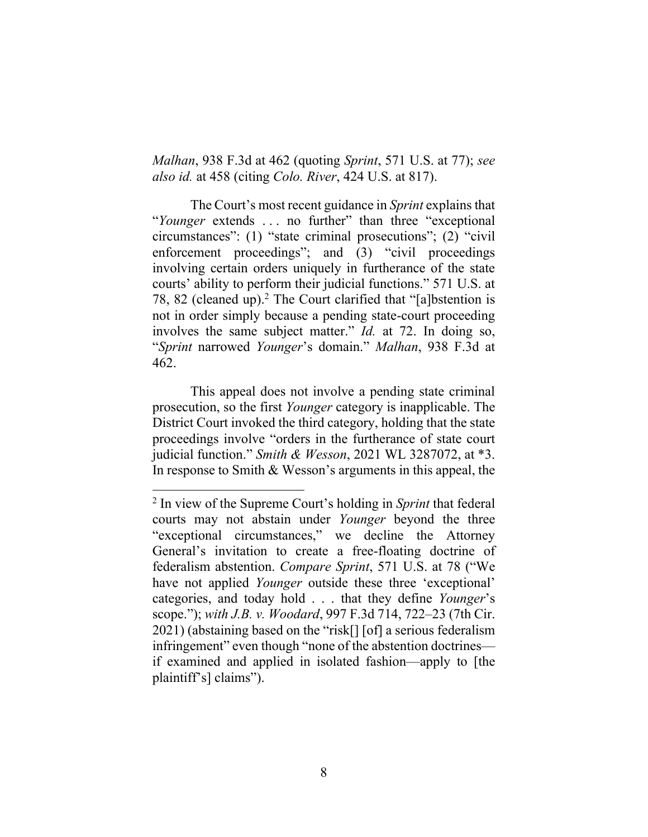*Malhan*, 938 F.3d at 462 (quoting *Sprint*, 571 U.S. at 77); *see also id.* at 458 (citing *Colo. River*, 424 U.S. at 817).

The Court's most recent guidance in *Sprint* explainsthat "*Younger* extends . . . no further" than three "exceptional circumstances": (1) "state criminal prosecutions"; (2) "civil enforcement proceedings"; and (3) "civil proceedings involving certain orders uniquely in furtherance of the state courts' ability to perform their judicial functions." 571 U.S. at 78, 82 (cleaned up).<sup>2</sup> The Court clarified that "[a]bstention is not in order simply because a pending state-court proceeding involves the same subject matter." *Id.* at 72. In doing so, "*Sprint* narrowed *Younger*'s domain." *Malhan*, 938 F.3d at 462.

This appeal does not involve a pending state criminal prosecution, so the first *Younger* category is inapplicable. The District Court invoked the third category, holding that the state proceedings involve "orders in the furtherance of state court judicial function." *Smith & Wesson*, 2021 WL 3287072, at \*3. In response to Smith & Wesson's arguments in this appeal, the

<sup>2</sup> In view of the Supreme Court's holding in *Sprint* that federal courts may not abstain under *Younger* beyond the three "exceptional circumstances," we decline the Attorney General's invitation to create a free-floating doctrine of federalism abstention. *Compare Sprint*, 571 U.S. at 78 ("We have not applied *Younger* outside these three 'exceptional' categories, and today hold . . . that they define *Younger*'s scope."); *with J.B. v. Woodard*, 997 F.3d 714, 722–23 (7th Cir. 2021) (abstaining based on the "risk[] [of] a serious federalism infringement" even though "none of the abstention doctrines if examined and applied in isolated fashion—apply to [the plaintiff's] claims").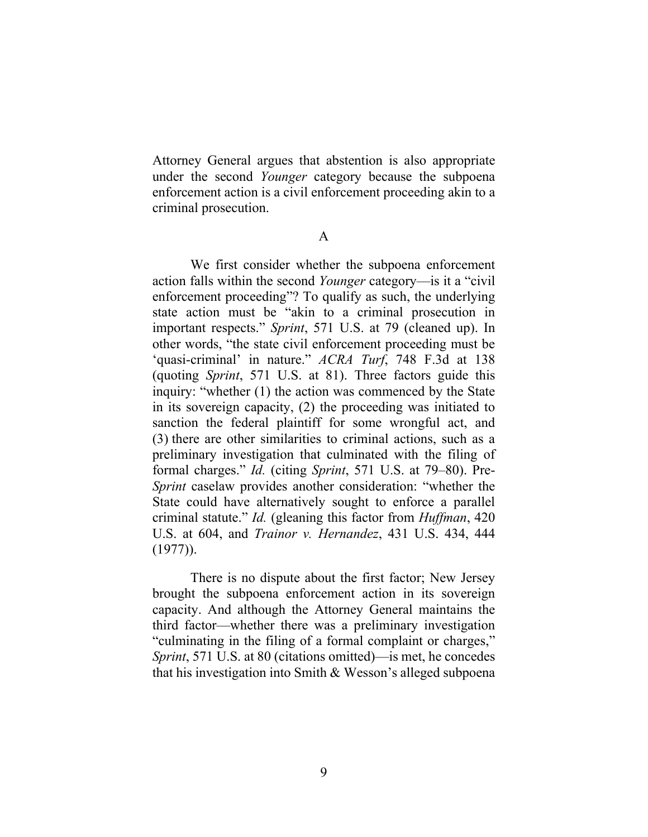Attorney General argues that abstention is also appropriate under the second *Younger* category because the subpoena enforcement action is a civil enforcement proceeding akin to a criminal prosecution.

A

We first consider whether the subpoena enforcement action falls within the second *Younger* category—is it a "civil enforcement proceeding"? To qualify as such, the underlying state action must be "akin to a criminal prosecution in important respects." *Sprint*, 571 U.S. at 79 (cleaned up). In other words, "the state civil enforcement proceeding must be 'quasi-criminal' in nature." *ACRA Turf*, 748 F.3d at 138 (quoting *Sprint*, 571 U.S. at 81). Three factors guide this inquiry: "whether (1) the action was commenced by the State in its sovereign capacity, (2) the proceeding was initiated to sanction the federal plaintiff for some wrongful act, and (3) there are other similarities to criminal actions, such as a preliminary investigation that culminated with the filing of formal charges." *Id.* (citing *Sprint*, 571 U.S. at 79–80). Pre-*Sprint* caselaw provides another consideration: "whether the State could have alternatively sought to enforce a parallel criminal statute." *Id.* (gleaning this factor from *Huffman*, 420 U.S. at 604, and *Trainor v. Hernandez*, 431 U.S. 434, 444 (1977)).

There is no dispute about the first factor; New Jersey brought the subpoena enforcement action in its sovereign capacity. And although the Attorney General maintains the third factor—whether there was a preliminary investigation "culminating in the filing of a formal complaint or charges," *Sprint*, 571 U.S. at 80 (citations omitted)—is met, he concedes that his investigation into Smith & Wesson's alleged subpoena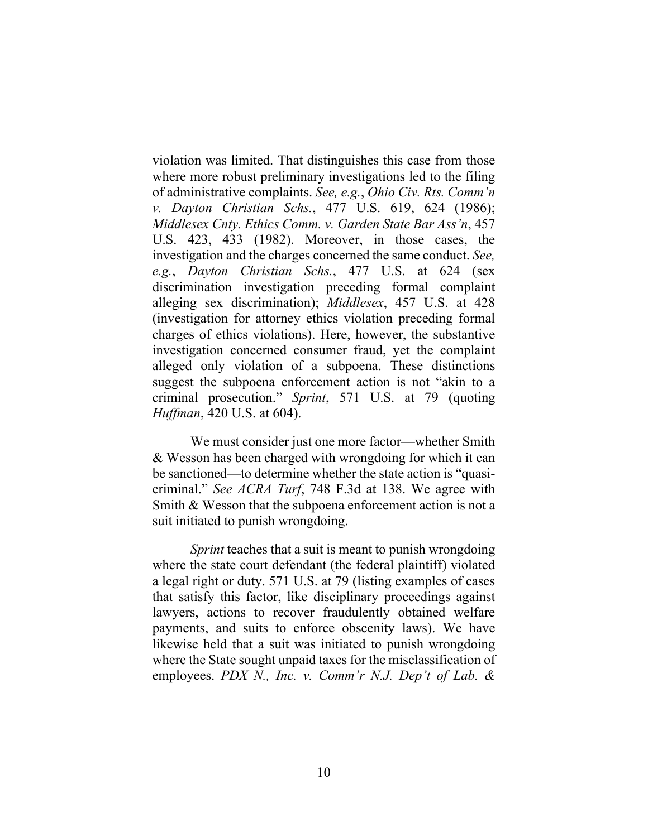violation was limited. That distinguishes this case from those where more robust preliminary investigations led to the filing of administrative complaints. *See, e.g.*, *Ohio Civ. Rts. Comm'n v. Dayton Christian Schs.*, 477 U.S. 619, 624 (1986); *Middlesex Cnty. Ethics Comm. v. Garden State Bar Ass'n*, 457 U.S. 423, 433 (1982). Moreover, in those cases, the investigation and the charges concerned the same conduct. *See, e.g.*, *Dayton Christian Schs.*, 477 U.S. at 624 (sex discrimination investigation preceding formal complaint alleging sex discrimination); *Middlesex*, 457 U.S. at 428 (investigation for attorney ethics violation preceding formal charges of ethics violations). Here, however, the substantive investigation concerned consumer fraud, yet the complaint alleged only violation of a subpoena. These distinctions suggest the subpoena enforcement action is not "akin to a criminal prosecution." *Sprint*, 571 U.S. at 79 (quoting *Huffman*, 420 U.S. at 604).

We must consider just one more factor—whether Smith & Wesson has been charged with wrongdoing for which it can be sanctioned—to determine whether the state action is "quasicriminal." *See ACRA Turf*, 748 F.3d at 138. We agree with Smith & Wesson that the subpoena enforcement action is not a suit initiated to punish wrongdoing.

*Sprint* teaches that a suit is meant to punish wrongdoing where the state court defendant (the federal plaintiff) violated a legal right or duty. 571 U.S. at 79 (listing examples of cases that satisfy this factor, like disciplinary proceedings against lawyers, actions to recover fraudulently obtained welfare payments, and suits to enforce obscenity laws). We have likewise held that a suit was initiated to punish wrongdoing where the State sought unpaid taxes for the misclassification of employees. *PDX N., Inc. v. Comm'r N.J. Dep't of Lab. &*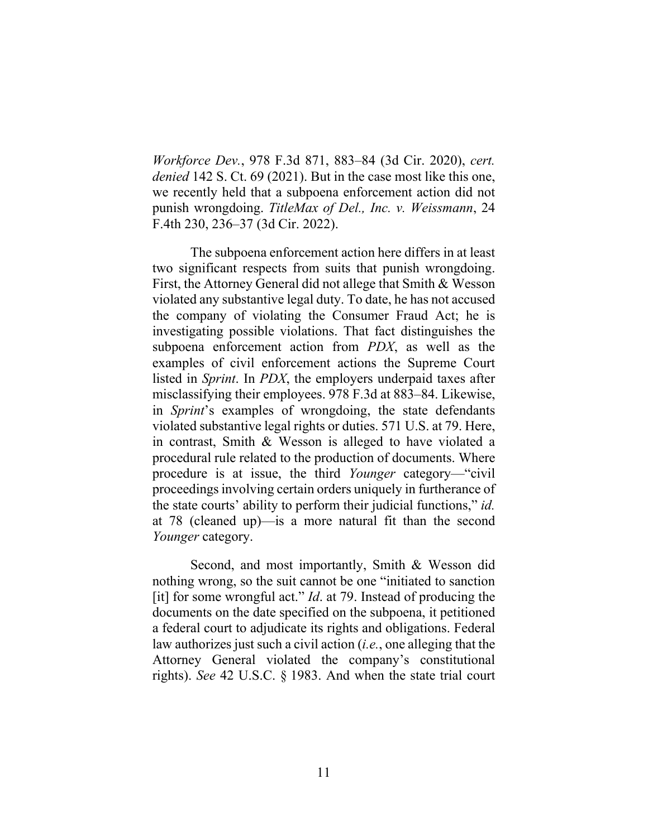*Workforce Dev.*, 978 F.3d 871, 883–84 (3d Cir. 2020), *cert. denied* 142 S. Ct. 69 (2021). But in the case most like this one, we recently held that a subpoena enforcement action did not punish wrongdoing. *TitleMax of Del., Inc. v. Weissmann*, 24 F.4th 230, 236–37 (3d Cir. 2022).

The subpoena enforcement action here differs in at least two significant respects from suits that punish wrongdoing. First, the Attorney General did not allege that Smith & Wesson violated any substantive legal duty. To date, he has not accused the company of violating the Consumer Fraud Act; he is investigating possible violations. That fact distinguishes the subpoena enforcement action from *PDX*, as well as the examples of civil enforcement actions the Supreme Court listed in *Sprint*. In *PDX*, the employers underpaid taxes after misclassifying their employees. 978 F.3d at 883–84. Likewise, in *Sprint*'s examples of wrongdoing, the state defendants violated substantive legal rights or duties. 571 U.S. at 79. Here, in contrast, Smith & Wesson is alleged to have violated a procedural rule related to the production of documents. Where procedure is at issue, the third *Younger* category—"civil proceedings involving certain orders uniquely in furtherance of the state courts' ability to perform their judicial functions," *id.* at 78 (cleaned up)—is a more natural fit than the second *Younger* category.

Second, and most importantly, Smith & Wesson did nothing wrong, so the suit cannot be one "initiated to sanction [it] for some wrongful act." *Id*. at 79. Instead of producing the documents on the date specified on the subpoena, it petitioned a federal court to adjudicate its rights and obligations. Federal law authorizes just such a civil action (*i.e.*, one alleging that the Attorney General violated the company's constitutional rights). *See* 42 U.S.C. § 1983. And when the state trial court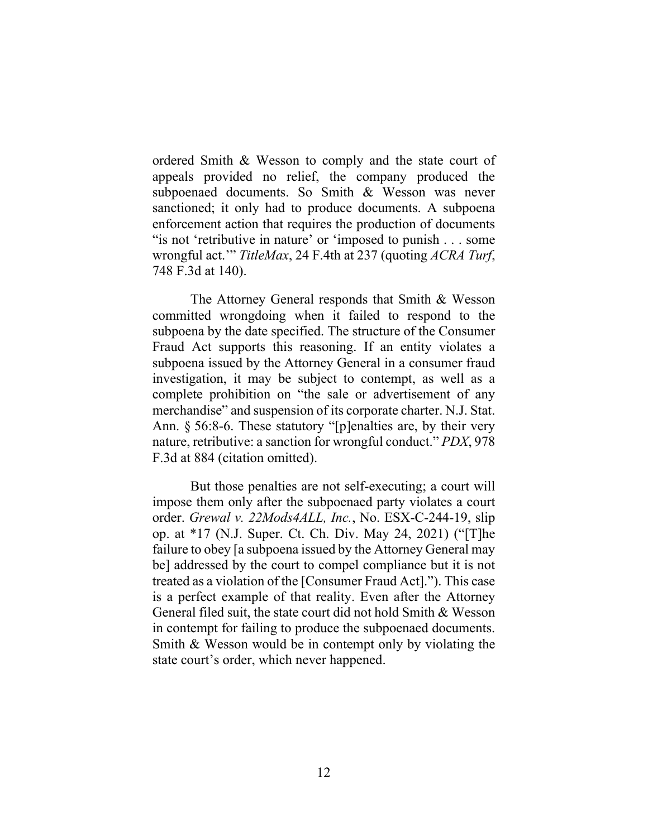ordered Smith & Wesson to comply and the state court of appeals provided no relief, the company produced the subpoenaed documents. So Smith & Wesson was never sanctioned; it only had to produce documents. A subpoena enforcement action that requires the production of documents "is not 'retributive in nature' or 'imposed to punish . . . some wrongful act.'" *TitleMax*, 24 F.4th at 237 (quoting *ACRA Turf*, 748 F.3d at 140).

The Attorney General responds that Smith & Wesson committed wrongdoing when it failed to respond to the subpoena by the date specified. The structure of the Consumer Fraud Act supports this reasoning. If an entity violates a subpoena issued by the Attorney General in a consumer fraud investigation, it may be subject to contempt, as well as a complete prohibition on "the sale or advertisement of any merchandise" and suspension of its corporate charter. N.J. Stat. Ann. § 56:8-6. These statutory "[p]enalties are, by their very nature, retributive: a sanction for wrongful conduct." *PDX*, 978 F.3d at 884 (citation omitted).

But those penalties are not self-executing; a court will impose them only after the subpoenaed party violates a court order. *Grewal v. 22Mods4ALL, Inc.*, No. ESX-C-244-19, slip op. at \*17 (N.J. Super. Ct. Ch. Div. May 24, 2021) ("[T]he failure to obey [a subpoena issued by the Attorney General may be] addressed by the court to compel compliance but it is not treated as a violation of the [Consumer Fraud Act]."). This case is a perfect example of that reality. Even after the Attorney General filed suit, the state court did not hold Smith & Wesson in contempt for failing to produce the subpoenaed documents. Smith & Wesson would be in contempt only by violating the state court's order, which never happened.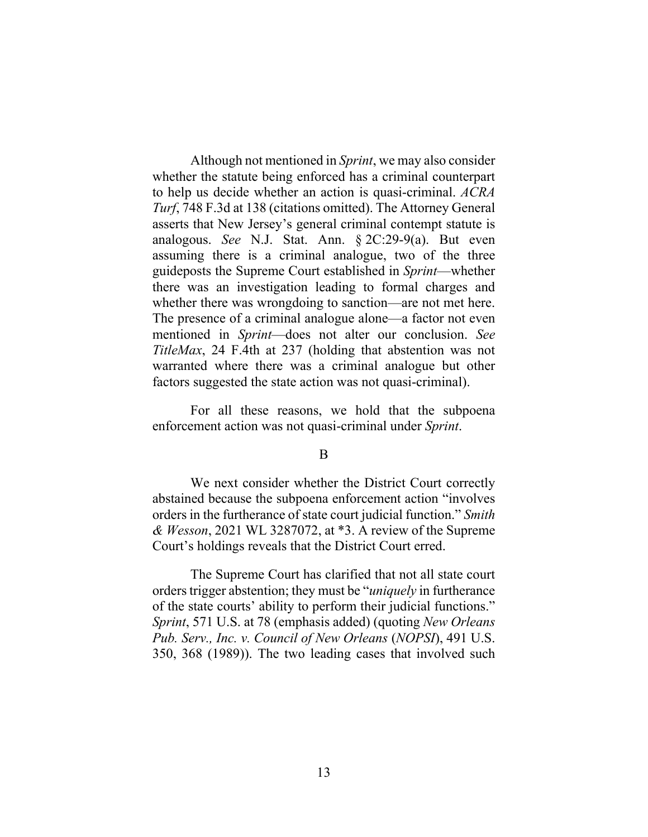Although not mentioned in *Sprint*, we may also consider whether the statute being enforced has a criminal counterpart to help us decide whether an action is quasi-criminal. *ACRA Turf*, 748 F.3d at 138 (citations omitted). The Attorney General asserts that New Jersey's general criminal contempt statute is analogous. *See* N.J. Stat. Ann. § 2C:29-9(a). But even assuming there is a criminal analogue, two of the three guideposts the Supreme Court established in *Sprint*—whether there was an investigation leading to formal charges and whether there was wrongdoing to sanction—are not met here. The presence of a criminal analogue alone—a factor not even mentioned in *Sprint*—does not alter our conclusion. *See TitleMax*, 24 F.4th at 237 (holding that abstention was not warranted where there was a criminal analogue but other factors suggested the state action was not quasi-criminal).

For all these reasons, we hold that the subpoena enforcement action was not quasi-criminal under *Sprint*.

B

We next consider whether the District Court correctly abstained because the subpoena enforcement action "involves orders in the furtherance of state court judicial function." *Smith & Wesson*, 2021 WL 3287072, at \*3. A review of the Supreme Court's holdings reveals that the District Court erred.

The Supreme Court has clarified that not all state court orders trigger abstention; they must be "*uniquely* in furtherance of the state courts' ability to perform their judicial functions." *Sprint*, 571 U.S. at 78 (emphasis added) (quoting *New Orleans Pub. Serv., Inc. v. Council of New Orleans* (*NOPSI*), 491 U.S. 350, 368 (1989)). The two leading cases that involved such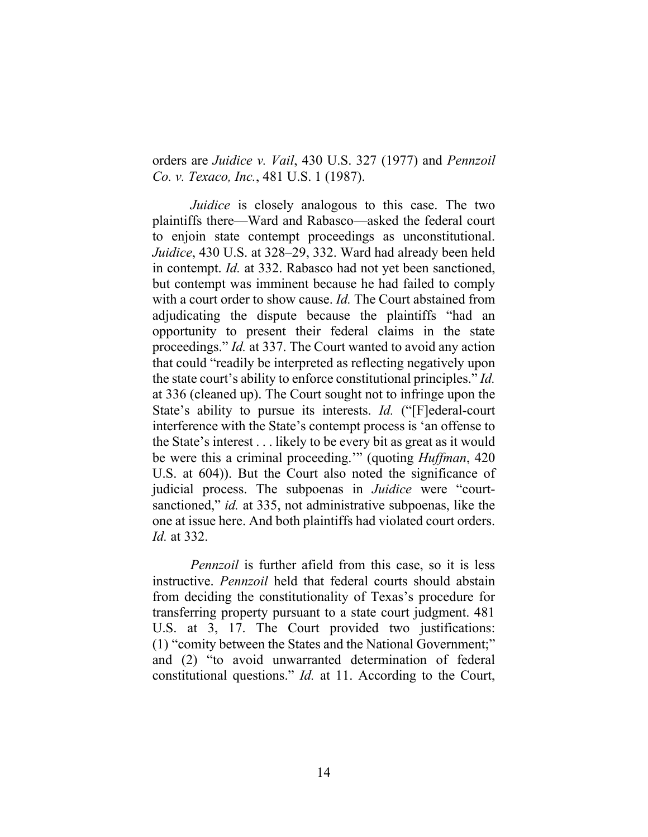orders are *Juidice v. Vail*, 430 U.S. 327 (1977) and *Pennzoil Co. v. Texaco, Inc.*, 481 U.S. 1 (1987).

*Juidice* is closely analogous to this case. The two plaintiffs there—Ward and Rabasco—asked the federal court to enjoin state contempt proceedings as unconstitutional. *Juidice*, 430 U.S. at 328–29, 332. Ward had already been held in contempt. *Id.* at 332. Rabasco had not yet been sanctioned, but contempt was imminent because he had failed to comply with a court order to show cause. *Id.* The Court abstained from adjudicating the dispute because the plaintiffs "had an opportunity to present their federal claims in the state proceedings." *Id.* at 337. The Court wanted to avoid any action that could "readily be interpreted as reflecting negatively upon the state court's ability to enforce constitutional principles." *Id.*  at 336 (cleaned up). The Court sought not to infringe upon the State's ability to pursue its interests. *Id.* ("[F]ederal-court interference with the State's contempt process is 'an offense to the State's interest . . . likely to be every bit as great as it would be were this a criminal proceeding.'" (quoting *Huffman*, 420 U.S. at 604)). But the Court also noted the significance of judicial process. The subpoenas in *Juidice* were "courtsanctioned," *id.* at 335, not administrative subpoenas, like the one at issue here. And both plaintiffs had violated court orders. *Id.* at 332.

*Pennzoil* is further afield from this case, so it is less instructive. *Pennzoil* held that federal courts should abstain from deciding the constitutionality of Texas's procedure for transferring property pursuant to a state court judgment. 481 U.S. at 3, 17. The Court provided two justifications: (1) "comity between the States and the National Government;" and (2) "to avoid unwarranted determination of federal constitutional questions." *Id.* at 11. According to the Court,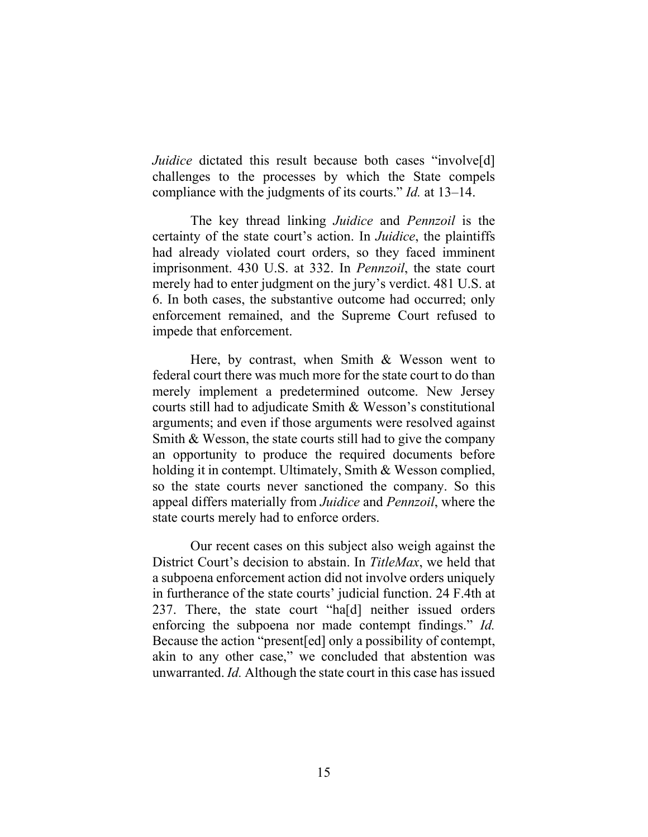*Juidice* dictated this result because both cases "involve<sup>[d]</sup> challenges to the processes by which the State compels compliance with the judgments of its courts." *Id.* at 13–14.

The key thread linking *Juidice* and *Pennzoil* is the certainty of the state court's action. In *Juidice*, the plaintiffs had already violated court orders, so they faced imminent imprisonment. 430 U.S. at 332. In *Pennzoil*, the state court merely had to enter judgment on the jury's verdict. 481 U.S. at 6. In both cases, the substantive outcome had occurred; only enforcement remained, and the Supreme Court refused to impede that enforcement.

Here, by contrast, when Smith & Wesson went to federal court there was much more for the state court to do than merely implement a predetermined outcome. New Jersey courts still had to adjudicate Smith & Wesson's constitutional arguments; and even if those arguments were resolved against Smith & Wesson, the state courts still had to give the company an opportunity to produce the required documents before holding it in contempt. Ultimately, Smith & Wesson complied, so the state courts never sanctioned the company. So this appeal differs materially from *Juidice* and *Pennzoil*, where the state courts merely had to enforce orders.

Our recent cases on this subject also weigh against the District Court's decision to abstain. In *TitleMax*, we held that a subpoena enforcement action did not involve orders uniquely in furtherance of the state courts' judicial function. 24 F.4th at 237. There, the state court "ha[d] neither issued orders enforcing the subpoena nor made contempt findings." *Id.*  Because the action "present[ed] only a possibility of contempt, akin to any other case," we concluded that abstention was unwarranted. *Id.* Although the state court in this case has issued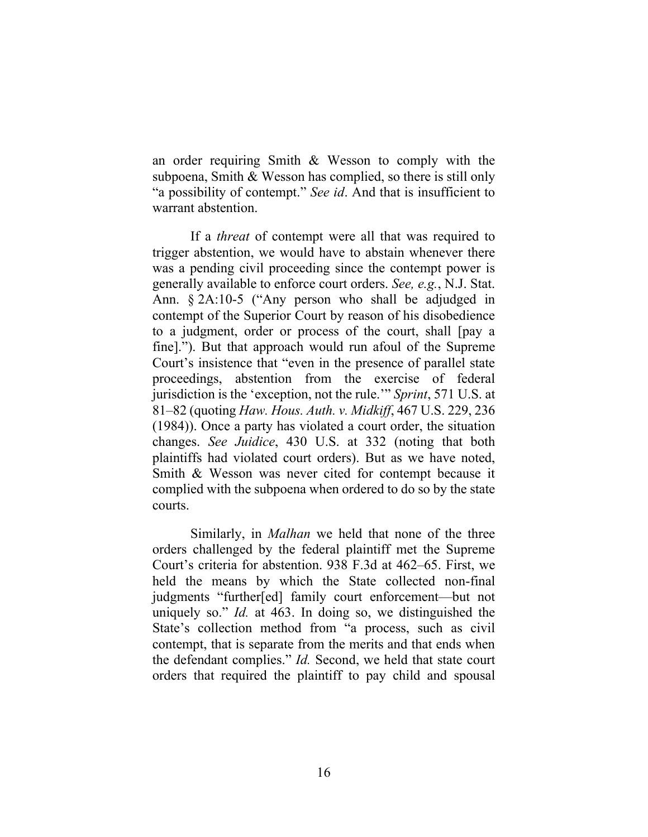an order requiring Smith & Wesson to comply with the subpoena, Smith & Wesson has complied, so there is still only "a possibility of contempt." *See id*. And that is insufficient to warrant abstention.

If a *threat* of contempt were all that was required to trigger abstention, we would have to abstain whenever there was a pending civil proceeding since the contempt power is generally available to enforce court orders. *See, e.g.*, N.J. Stat. Ann. § 2A:10-5 ("Any person who shall be adjudged in contempt of the Superior Court by reason of his disobedience to a judgment, order or process of the court, shall [pay a fine]."). But that approach would run afoul of the Supreme Court's insistence that "even in the presence of parallel state proceedings, abstention from the exercise of federal jurisdiction is the 'exception, not the rule.'" *Sprint*, 571 U.S. at 81–82 (quoting *Haw. Hous. Auth. v. Midkiff*, 467 U.S. 229, 236 (1984)). Once a party has violated a court order, the situation changes. *See Juidice*, 430 U.S. at 332 (noting that both plaintiffs had violated court orders). But as we have noted, Smith & Wesson was never cited for contempt because it complied with the subpoena when ordered to do so by the state courts.

Similarly, in *Malhan* we held that none of the three orders challenged by the federal plaintiff met the Supreme Court's criteria for abstention. 938 F.3d at 462–65. First, we held the means by which the State collected non-final judgments "further[ed] family court enforcement—but not uniquely so." *Id.* at 463. In doing so, we distinguished the State's collection method from "a process, such as civil contempt, that is separate from the merits and that ends when the defendant complies." *Id.* Second, we held that state court orders that required the plaintiff to pay child and spousal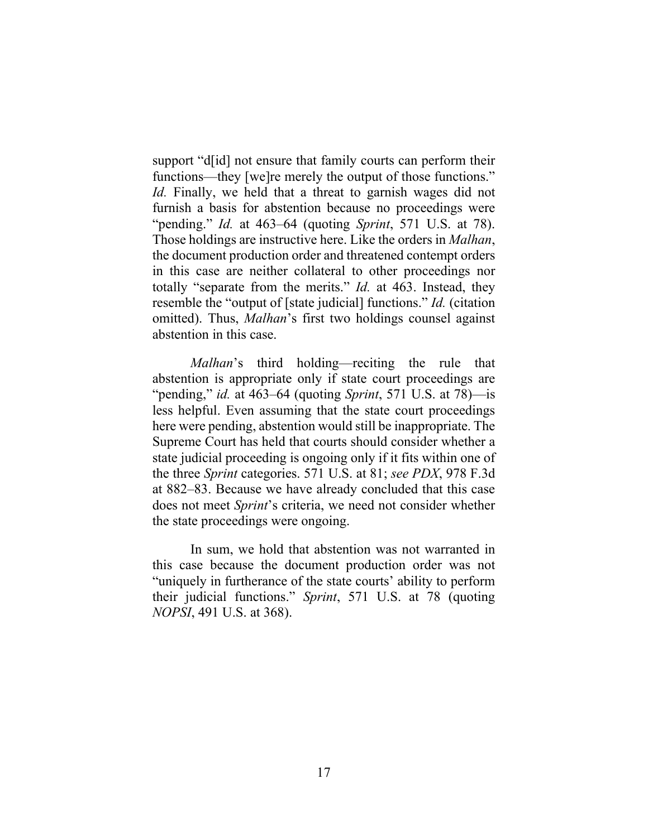support "d[id] not ensure that family courts can perform their functions—they [we]re merely the output of those functions." *Id.* Finally, we held that a threat to garnish wages did not furnish a basis for abstention because no proceedings were "pending." *Id.* at 463–64 (quoting *Sprint*, 571 U.S. at 78). Those holdings are instructive here. Like the orders in *Malhan*, the document production order and threatened contempt orders in this case are neither collateral to other proceedings nor totally "separate from the merits." *Id.* at 463. Instead, they resemble the "output of [state judicial] functions." *Id.* (citation omitted). Thus, *Malhan*'s first two holdings counsel against abstention in this case.

*Malhan*'s third holding—reciting the rule that abstention is appropriate only if state court proceedings are "pending," *id.* at 463–64 (quoting *Sprint*, 571 U.S. at 78)—is less helpful. Even assuming that the state court proceedings here were pending, abstention would still be inappropriate. The Supreme Court has held that courts should consider whether a state judicial proceeding is ongoing only if it fits within one of the three *Sprint* categories. 571 U.S. at 81; *see PDX*, 978 F.3d at 882–83. Because we have already concluded that this case does not meet *Sprint*'s criteria, we need not consider whether the state proceedings were ongoing.

In sum, we hold that abstention was not warranted in this case because the document production order was not "uniquely in furtherance of the state courts' ability to perform their judicial functions." *Sprint*, 571 U.S. at 78 (quoting *NOPSI*, 491 U.S. at 368).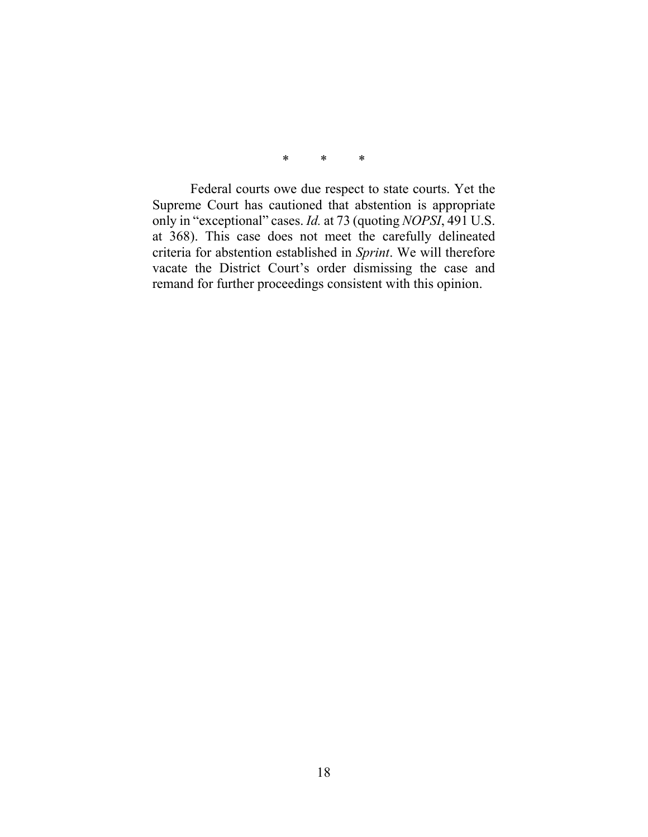\* \* \*

Federal courts owe due respect to state courts. Yet the Supreme Court has cautioned that abstention is appropriate only in "exceptional" cases. *Id.* at 73 (quoting *NOPSI*, 491 U.S. at 368). This case does not meet the carefully delineated criteria for abstention established in *Sprint*. We will therefore vacate the District Court's order dismissing the case and remand for further proceedings consistent with this opinion.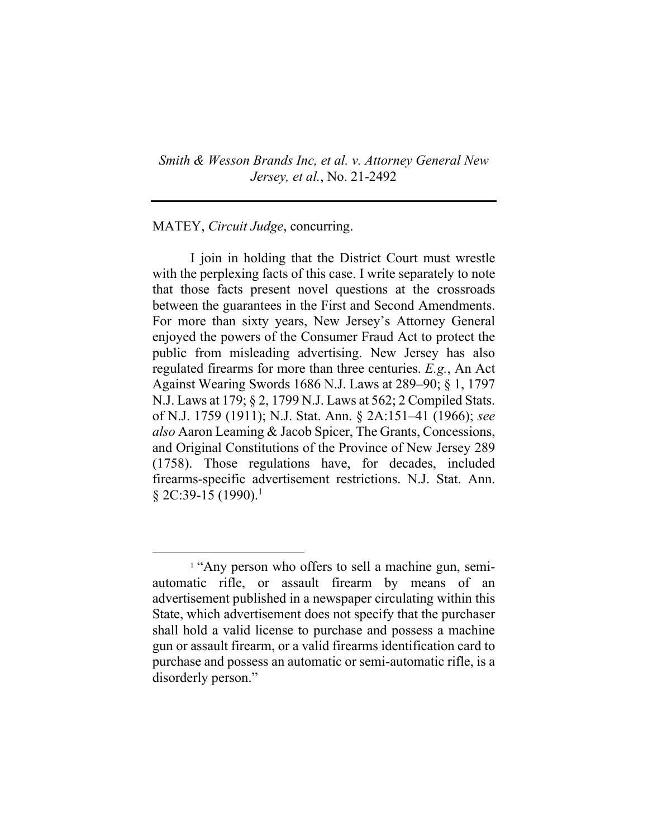*Smith & Wesson Brands Inc, et al. v. Attorney General New Jersey, et al.*, No. 21-2492

MATEY, *Circuit Judge*, concurring.

I join in holding that the District Court must wrestle with the perplexing facts of this case. I write separately to note that those facts present novel questions at the crossroads between the guarantees in the First and Second Amendments. For more than sixty years, New Jersey's Attorney General enjoyed the powers of the Consumer Fraud Act to protect the public from misleading advertising. New Jersey has also regulated firearms for more than three centuries. *E.g.*, An Act Against Wearing Swords 1686 N.J. Laws at 289–90; § 1, 1797 N.J. Laws at 179; § 2, 1799 N.J. Laws at 562; 2 Compiled Stats. of N.J. 1759 (1911); N.J. Stat. Ann. § 2A:151–41 (1966); *see also* Aaron Leaming & Jacob Spicer, The Grants, Concessions, and Original Constitutions of the Province of New Jersey 289 (1758). Those regulations have, for decades, included firearms-specific advertisement restrictions. N.J. Stat. Ann.  $§$  2C:39-15 (1990).<sup>1</sup>

<sup>&</sup>lt;sup>1</sup> "Any person who offers to sell a machine gun, semiautomatic rifle, or assault firearm by means of an advertisement published in a newspaper circulating within this State, which advertisement does not specify that the purchaser shall hold a valid license to purchase and possess a machine gun or assault firearm, or a valid firearms identification card to purchase and possess an automatic or semi-automatic rifle, is a disorderly person."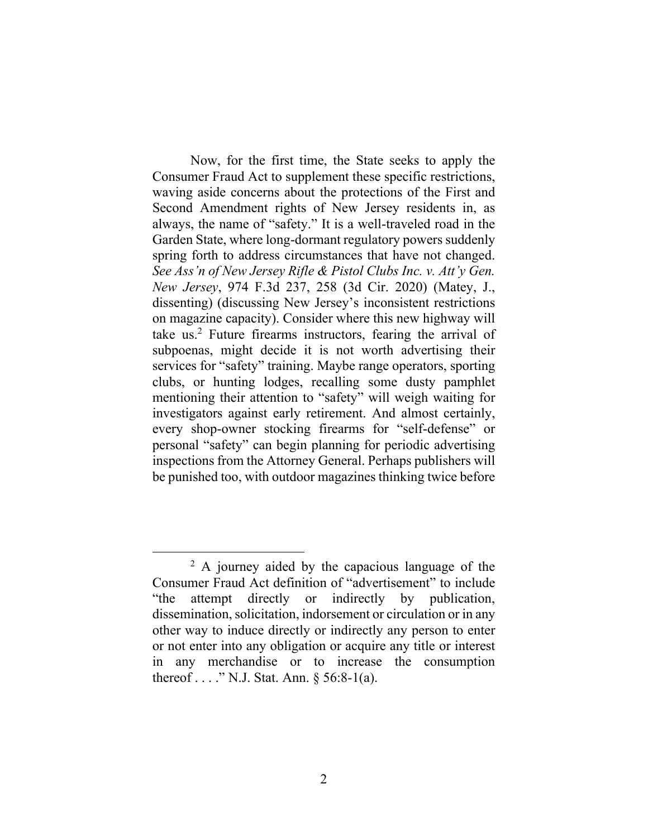Now, for the first time, the State seeks to apply the Consumer Fraud Act to supplement these specific restrictions, waving aside concerns about the protections of the First and Second Amendment rights of New Jersey residents in, as always, the name of "safety." It is a well-traveled road in the Garden State, where long-dormant regulatory powers suddenly spring forth to address circumstances that have not changed. *See Ass'n of New Jersey Rifle & Pistol Clubs Inc. v. Att'y Gen. New Jersey*, 974 F.3d 237, 258 (3d Cir. 2020) (Matey, J., dissenting) (discussing New Jersey's inconsistent restrictions on magazine capacity). Consider where this new highway will take us.<sup>2</sup> Future firearms instructors, fearing the arrival of subpoenas, might decide it is not worth advertising their services for "safety" training. Maybe range operators, sporting clubs, or hunting lodges, recalling some dusty pamphlet mentioning their attention to "safety" will weigh waiting for investigators against early retirement. And almost certainly, every shop-owner stocking firearms for "self-defense" or personal "safety" can begin planning for periodic advertising inspections from the Attorney General. Perhaps publishers will be punished too, with outdoor magazines thinking twice before

<sup>&</sup>lt;sup>2</sup> A journey aided by the capacious language of the Consumer Fraud Act definition of "advertisement" to include "the attempt directly or indirectly by publication, dissemination, solicitation, indorsement or circulation or in any other way to induce directly or indirectly any person to enter or not enter into any obligation or acquire any title or interest in any merchandise or to increase the consumption thereof . . . ." N.J. Stat. Ann. § 56:8-1(a).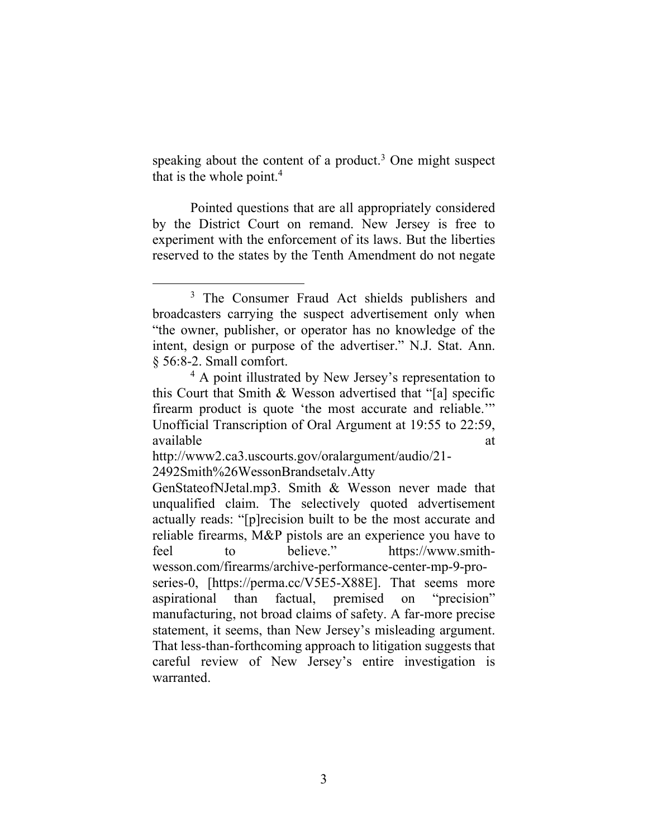speaking about the content of a product.<sup>3</sup> One might suspect that is the whole point.<sup>4</sup>

Pointed questions that are all appropriately considered by the District Court on remand. New Jersey is free to experiment with the enforcement of its laws. But the liberties reserved to the states by the Tenth Amendment do not negate

<sup>&</sup>lt;sup>3</sup> The Consumer Fraud Act shields publishers and broadcasters carrying the suspect advertisement only when "the owner, publisher, or operator has no knowledge of the intent, design or purpose of the advertiser." N.J. Stat. Ann. § 56:8-2. Small comfort.

<sup>&</sup>lt;sup>4</sup> A point illustrated by New Jersey's representation to this Court that Smith & Wesson advertised that "[a] specific firearm product is quote 'the most accurate and reliable.'" Unofficial Transcription of Oral Argument at 19:55 to 22:59, available at a state of  $\alpha$  at a state of  $\alpha$  at a state of  $\alpha$  at a state of  $\alpha$ 

http://www2.ca3.uscourts.gov/oralargument/audio/21- 2492Smith%26WessonBrandsetalv.Atty

GenStateofNJetal.mp3. Smith & Wesson never made that unqualified claim. The selectively quoted advertisement actually reads: "[p]recision built to be the most accurate and reliable firearms, M&P pistols are an experience you have to feel to believe." https://www.smithwesson.com/firearms/archive-performance-center-mp-9-proseries-0, [https://perma.cc/V5E5-X88E]. That seems more aspirational than factual, premised on "precision" manufacturing, not broad claims of safety. A far-more precise statement, it seems, than New Jersey's misleading argument. That less-than-forthcoming approach to litigation suggests that careful review of New Jersey's entire investigation is warranted.